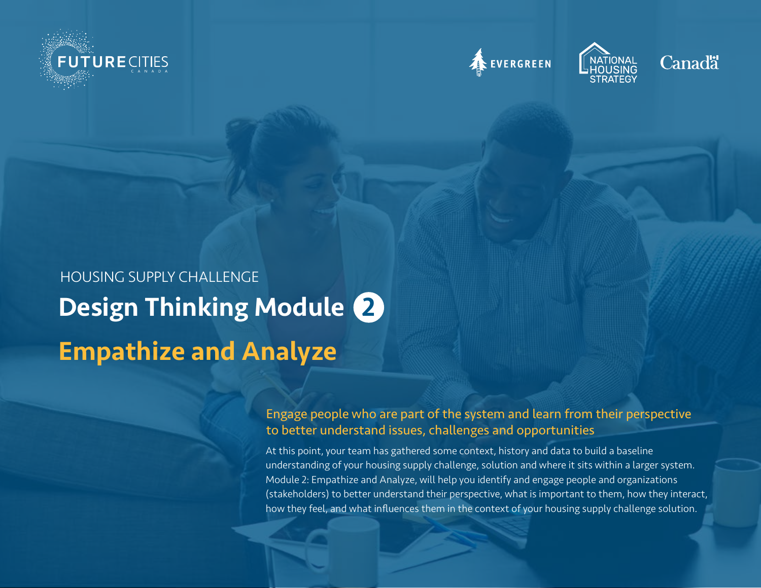







# Design Thinking Module 2 Empathize and Analyze HOUSING SUPPLY CHALLENGE

Engage people who are part of the system and learn from their perspective to better understand issues, challenges and opportunities

At this point, your team has gathered some context, history and data to build a baseline understanding of your housing supply challenge, solution and where it sits within a larger system. Module 2: Empathize and Analyze, will help you identify and engage people and organizations (stakeholders) to better understand their perspective, what is important to them, how they interact, how they feel, and what influences them in the context of your housing supply challenge solution.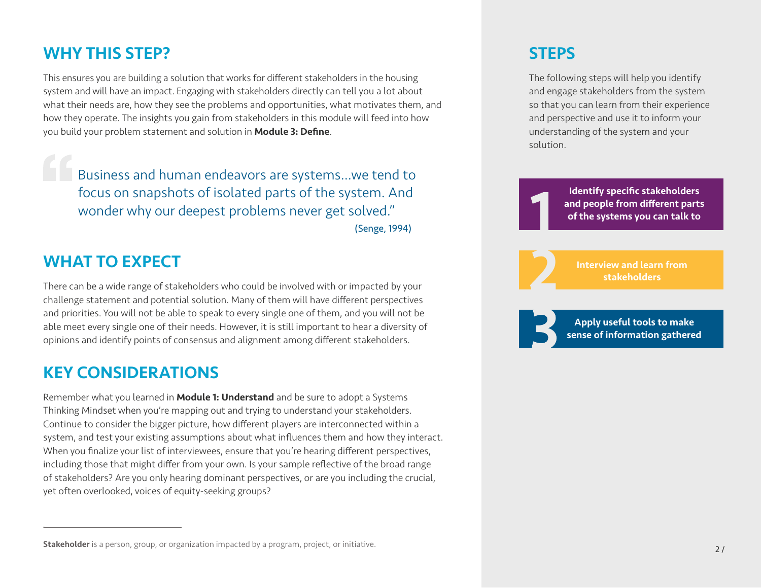### WHY THIS STEP?

This ensures you are building a solution that works for different stakeholders in the housing system and will have an impact. Engaging with stakeholders directly can tell you a lot about what their needs are, how they see the problems and opportunities, what motivates them, and how they operate. The insights you gain from stakeholders in this module will feed into how you build your problem statement and solution in Module 3: Define.

Business and human endeavors are systems...we tend to focus on snapshots of isolated parts of the system. And wonder why our deepest problems never get solved."

(Senge, 1994)

### WHAT TO EXPECT

There can be a wide range of stakeholders who could be involved with or impacted by your challenge statement and potential solution. Many of them will have different perspectives and priorities. You will not be able to speak to every single one of them, and you will not be able meet every single one of their needs. However, it is still important to hear a diversity of opinions and identify points of consensus and alignment among different stakeholders.

## KEY CONSIDERATIONS

Remember what you learned in **Module 1: Understand** and be sure to adopt a Systems Thinking Mindset when you're mapping out and trying to understand your stakeholders. Continue to consider the bigger picture, how different players are interconnected within a system, and test your existing assumptions about what influences them and how they interact. When you finalize your list of interviewees, ensure that you're hearing different perspectives, including those that might differ from your own. Is your sample reflective of the broad range of stakeholders? Are you only hearing dominant perspectives, or are you including the crucial, yet often overlooked, voices of equity-seeking groups?

### **STEPS**

The following steps will help you identify and engage stakeholders from the system so that you can learn from their experience and perspective and use it to inform your understanding of the system and your solution.

> Identify specific stakeholders and people from different parts of the systems you can talk to

Interview and learn from stakeholders

Apply useful tools to make sense of information gathered

Stakeholder is a person, group, or organization impacted by a program, project, or initiative.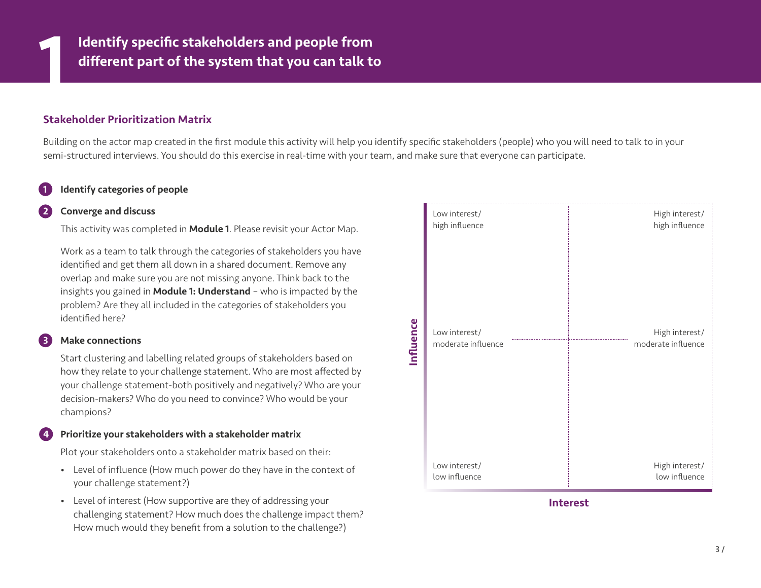

#### Stakeholder Prioritization Matrix

Building on the actor map created in the first module this activity will help you identify specific stakeholders (people) who you will need to talk to in your semi-structured interviews. You should do this exercise in real-time with your team, and make sure that everyone can participate.

#### Identify categories of people

#### 2 Converge and discuss

This activity was completed in **Module 1**. Please revisit your Actor Map.

Work as a team to talk through the categories of stakeholders you have identified and get them all down in a shared document. Remove any overlap and make sure you are not missing anyone. Think back to the insights you gained in **Module 1: Understand** - who is impacted by the problem? Are they all included in the categories of stakeholders you identified here?

#### **Make connections**

Start clustering and labelling related groups of stakeholders based on how they relate to your challenge statement. Who are most affected by your challenge statement-both positively and negatively? Who are your decision-makers? Who do you need to convince? Who would be your champions?

#### Prioritize your stakeholders with a stakeholder matrix

Plot your stakeholders onto a stakeholder matrix based on their:

- Level of influence (How much power do they have in the context of your challenge statement?)
- Level of interest (How supportive are they of addressing your challenging statement? How much does the challenge impact them? How much would they benefit from a solution to the challenge?)

| Influence | Low interest/<br>high influence<br>Low interest/<br>moderate influence | High interest/<br>high influence<br>High interest/<br>moderate influence |
|-----------|------------------------------------------------------------------------|--------------------------------------------------------------------------|
|           | Low interest/<br>low influence                                         | High interest/<br>low influence                                          |

Interest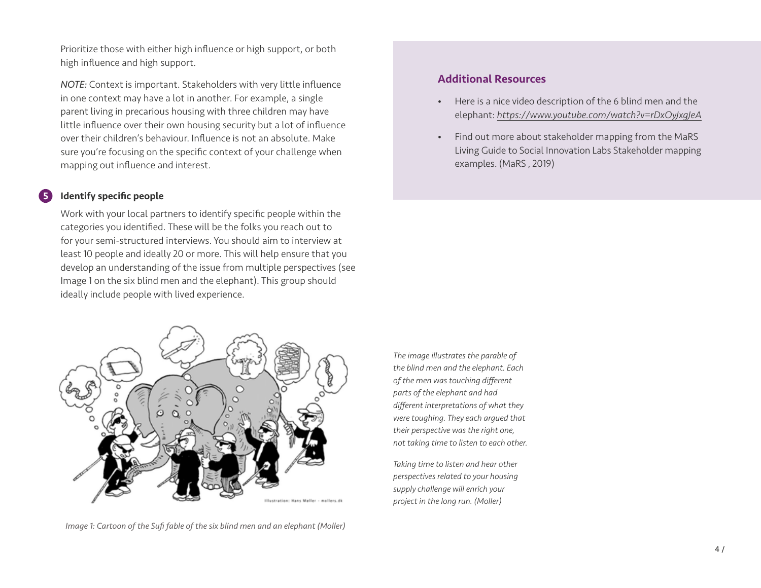Prioritize those with either high influence or high support, or both high influence and high support.

*NOTE:* Context is important. Stakeholders with very little influence in one context may have a lot in another. For example, a single parent living in precarious housing with three children may have little influence over their own housing security but a lot of influence over their children's behaviour. Influence is not an absolute. Make sure you're focusing on the specific context of your challenge when mapping out influence and interest.

#### Identify specific people

Work with your local partners to identify specific people within the categories you identified. These will be the folks you reach out to for your semi-structured interviews. You should aim to interview at least 10 people and ideally 20 or more. This will help ensure that you develop an understanding of the issue from multiple perspectives (see Image 1 on the six blind men and the elephant). This group should ideally include people with lived experience.

#### Additional Resources

- Here is a nice video description of the 6 blind men and the elephant: *https://www.youtube.com/watch?v=rDxOyJxgJeA*
- Find out more about stakeholder mapping from the MaRS Living Guide to Social Innovation Labs Stakeholder mapping examples. (MaRS , 2019)



*Image 1: Cartoon of the Sufi fable of the six blind men and an elephant (Moller)*

*The image illustrates the parable of the blind men and the elephant. Each of the men was touching different parts of the elephant and had different interpretations of what they were toughing. They each argued that their perspective was the right one, not taking time to listen to each other.* 

*Taking time to listen and hear other perspectives related to your housing supply challenge will enrich your project in the long run. (Moller)*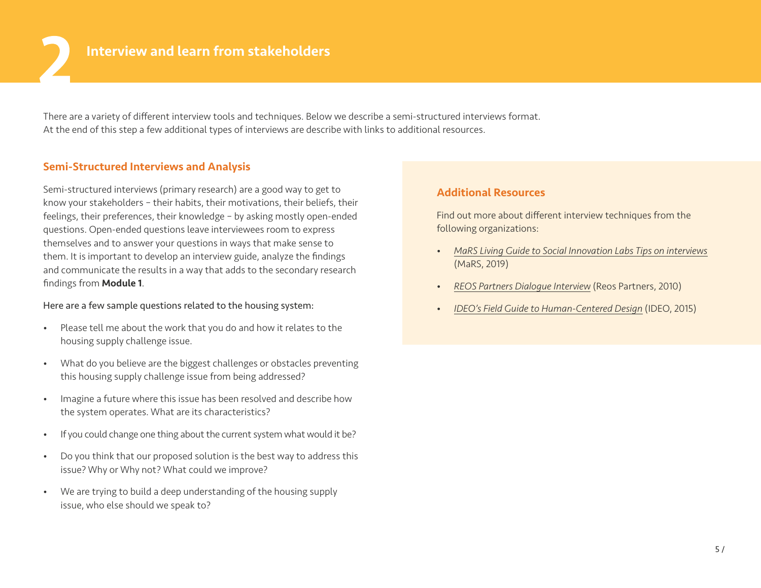There are a variety of different interview tools and techniques. Below we describe a semi-structured interviews format. At the end of this step a few additional types of interviews are describe with links to additional resources.

#### Semi-Structured Interviews and Analysis

Semi-structured interviews (primary research) are a good way to get to know your stakeholders – their habits, their motivations, their beliefs, their feelings, their preferences, their knowledge – by asking mostly open-ended questions. Open-ended questions leave interviewees room to express themselves and to answer your questions in ways that make sense to them. It is important to develop an interview guide, analyze the findings and communicate the results in a way that adds to the secondary research findings from Module 1.

#### Here are a few sample questions related to the housing system:

- Please tell me about the work that you do and how it relates to the housing supply challenge issue.
- What do you believe are the biggest challenges or obstacles preventing this housing supply challenge issue from being addressed?
- Imagine a future where this issue has been resolved and describe how the system operates. What are its characteristics?
- If you could change one thing about the current system what would it be?
- Do you think that our proposed solution is the best way to address this issue? Why or Why not? What could we improve?
- We are trying to build a deep understanding of the housing supply issue, who else should we speak to?

#### Additional Resources

Find out more about different interview techniques from the following organizations:

- *[MaRS Living Guide to Social Innovation Labs Tips on interviews](https://mars-solutions-lab.gitbook.io/living-guide-to-social-innovation-labs/seeing/design-research/interviews)* (MaRS, 2019)
- *[REOS Partners Dialogue Interview](https://reospartners.com/publications/dialogue-interviews-module/)* (Reos Partners, 2010)
- *[IDEO's Field Guide to Human-Centered Design](https://www.designkit.org/resources/1?utm_medium=ApproachPage&utm_source=www.ideo.org&utm_campaign=FGButton)* (IDEO, 2015)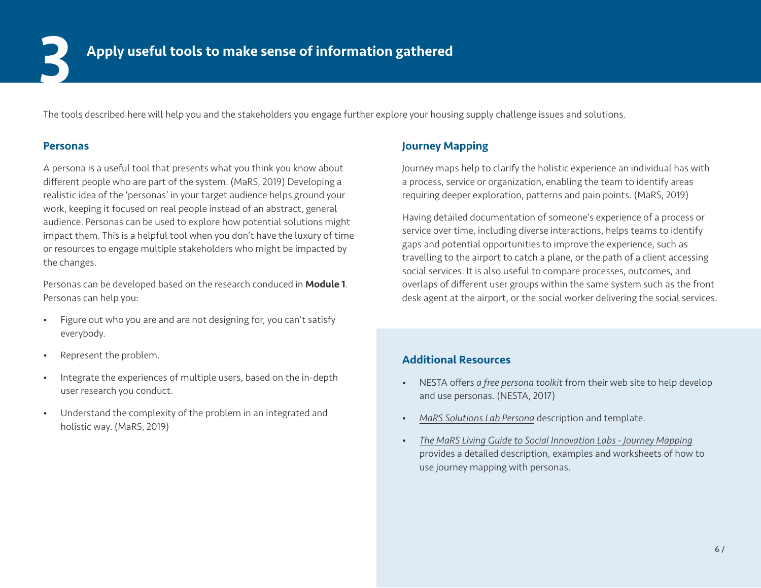The tools described here will help you and the stakeholders you engage further explore your housing supply challenge issues and solutions.

#### Personas

A persona is a useful tool that presents what you think you know about different people who are part of the system. (MaRS, 2019) Developing a realistic idea of the 'personas' in your target audience helps ground your work, keeping it focused on real people instead of an abstract, general audience. Personas can be used to explore how potential solutions might impact them. This is a helpful tool when you don't have the luxury of time or resources to engage multiple stakeholders who might be impacted by the changes.

Personas can be developed based on the research conduced in **Module 1**. Personas can help you:

- Figure out who you are and are not designing for, you can't satisfy everybody.
- Represent the problem.
- Integrate the experiences of multiple users, based on the in-depth user research you conduct.
- Understand the complexity of the problem in an integrated and holistic way. (MaRS, 2019)

### Journey Mapping

Journey maps help to clarify the holistic experience an individual has with a process, service or organization, enabling the team to identify areas requiring deeper exploration, patterns and pain points. (MaRS, 2019)

Having detailed documentation of someone's experience of a process or service over time, including diverse interactions, helps teams to identify gaps and potential opportunities to improve the experience, such as travelling to the airport to catch a plane, or the path of a client accessing social services. It is also useful to compare processes, outcomes, and overlaps of different user groups within the same system such as the front desk agent at the airport, or the social worker delivering the social services.

#### Additional Resources

- NESTA offers *[a free persona toolkit](https://www.nesta.org.uk/toolkit/personas/)* from their web site to help develop and use personas. (NESTA, 2017)
- *[MaRS Solutions Lab Persona](https://mars-solutions-lab.gitbook.io/living-guide-to-social-innovation-labs/seeing/design-research/ethnography)* description and template.
- *[The MaRS Living Guide to Social Innovation Labs Journey Mapping](https://mars-solutions-lab.gitbook.io/living-guide-to-social-innovation-labs/seeing/design-research/journey-mapping)* provides a detailed description, examples and worksheets of how to use journey mapping with personas.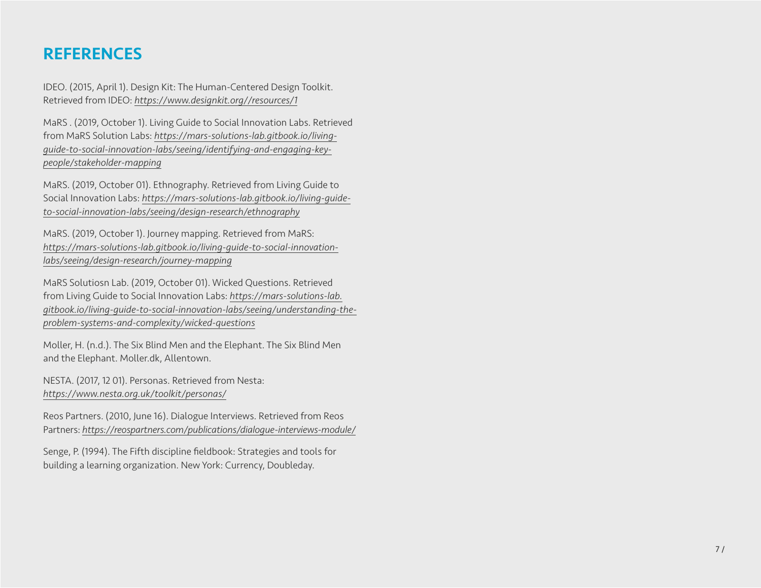### **REFERENCES**

IDEO. (2015, April 1). Design Kit: The Human-Centered Design Toolkit. Retrieved from IDEO: *https://www.designkit.org//resources/1*

MaRS . (2019, October 1). Living Guide to Social Innovation Labs. Retrieved from MaRS Solution Labs: *[https://mars-solutions-lab.gitbook.io/living](https://mars-solutions-lab.gitbook.io/living-guide-to-social-innovation-labs/seeing/identifying-and-engaging-key-people/stakeholder-mapping)[guide-to-social-innovation-labs/seeing/identifying-and-engaging-key](https://mars-solutions-lab.gitbook.io/living-guide-to-social-innovation-labs/seeing/identifying-and-engaging-key-people/stakeholder-mapping)[people/stakeholder-mapping](https://mars-solutions-lab.gitbook.io/living-guide-to-social-innovation-labs/seeing/identifying-and-engaging-key-people/stakeholder-mapping)*

MaRS. (2019, October 01). Ethnography. Retrieved from Living Guide to Social Innovation Labs: *[https://mars-solutions-lab.gitbook.io/living-guide](https://mars-solutions-lab.gitbook.io/living-guide-to-social-innovation-labs/seeing/design-research/ethnography)[to-social-innovation-labs/seeing/design-research/ethnography](https://mars-solutions-lab.gitbook.io/living-guide-to-social-innovation-labs/seeing/design-research/ethnography)*

MaRS. (2019, October 1). Journey mapping. Retrieved from MaRS: *[https://mars-solutions-lab.gitbook.io/living-guide-to-social-innovation](https://mars-solutions-lab.gitbook.io/living-guide-to-social-innovation-labs/seeing/design-research/journey-mapping)[labs/seeing/design-research/journey-mapping](https://mars-solutions-lab.gitbook.io/living-guide-to-social-innovation-labs/seeing/design-research/journey-mapping)*

MaRS Solutiosn Lab. (2019, October 01). Wicked Questions. Retrieved from Living Guide to Social Innovation Labs: *[https://mars-solutions-lab.](https://mars-solutions-lab.gitbook.io/living-guide-to-social-innovation-labs/seeing/understanding-the-problem-systems-and-complexity/wicked-questions) [gitbook.io/living-guide-to-social-innovation-labs/seeing/understanding-the](https://mars-solutions-lab.gitbook.io/living-guide-to-social-innovation-labs/seeing/understanding-the-problem-systems-and-complexity/wicked-questions)[problem-systems-and-complexity/wicked-questions](https://mars-solutions-lab.gitbook.io/living-guide-to-social-innovation-labs/seeing/understanding-the-problem-systems-and-complexity/wicked-questions)*

Moller, H. (n.d.). The Six Blind Men and the Elephant. The Six Blind Men and the Elephant. Moller.dk, Allentown.

NESTA. (2017, 12 01). Personas. Retrieved from Nesta: *<https://www.nesta.org.uk/toolkit/personas/>*

Reos Partners. (2010, June 16). Dialogue Interviews. Retrieved from Reos Partners: *<https://reospartners.com/publications/dialogue-interviews-module/>*

Senge, P. (1994). The Fifth discipline fieldbook: Strategies and tools for building a learning organization. New York: Currency, Doubleday.